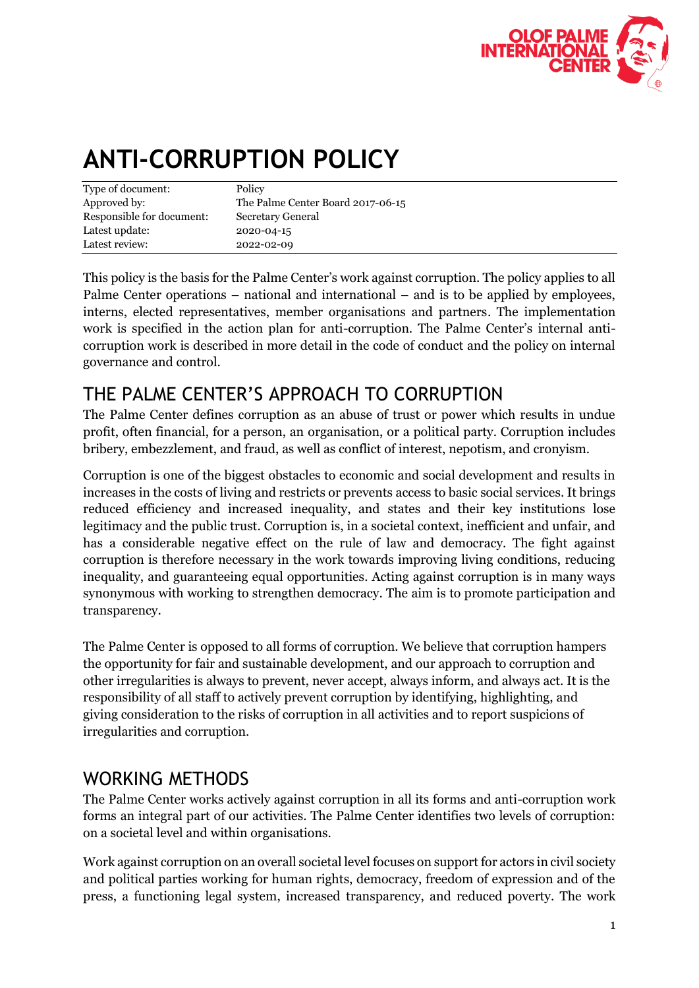

## **ANTI-CORRUPTION POLICY**

| Policy                            |
|-----------------------------------|
| The Palme Center Board 2017-06-15 |
| Secretary General                 |
| 2020-04-15                        |
| 2022-02-09                        |
|                                   |

This policy is the basis for the Palme Center's work against corruption. The policy applies to all Palme Center operations – national and international – and is to be applied by employees, interns, elected representatives, member organisations and partners. The implementation work is specified in the action plan for anti-corruption. The Palme Center's internal anticorruption work is described in more detail in the code of conduct and the policy on internal governance and control.

## THE PALME CENTER'S APPROACH TO CORRUPTION

The Palme Center defines corruption as an abuse of trust or power which results in undue profit, often financial, for a person, an organisation, or a political party. Corruption includes bribery, embezzlement, and fraud, as well as conflict of interest, nepotism, and cronyism.

Corruption is one of the biggest obstacles to economic and social development and results in increases in the costs of living and restricts or prevents access to basic social services. It brings reduced efficiency and increased inequality, and states and their key institutions lose legitimacy and the public trust. Corruption is, in a societal context, inefficient and unfair, and has a considerable negative effect on the rule of law and democracy. The fight against corruption is therefore necessary in the work towards improving living conditions, reducing inequality, and guaranteeing equal opportunities. Acting against corruption is in many ways synonymous with working to strengthen democracy. The aim is to promote participation and transparency.

The Palme Center is opposed to all forms of corruption. We believe that corruption hampers the opportunity for fair and sustainable development, and our approach to corruption and other irregularities is always to prevent, never accept, always inform, and always act. It is the responsibility of all staff to actively prevent corruption by identifying, highlighting, and giving consideration to the risks of corruption in all activities and to report suspicions of irregularities and corruption.

## WORKING METHODS

The Palme Center works actively against corruption in all its forms and anti-corruption work forms an integral part of our activities. The Palme Center identifies two levels of corruption: on a societal level and within organisations.

Work against corruption on an overall societal level focuses on support for actors in civil society and political parties working for human rights, democracy, freedom of expression and of the press, a functioning legal system, increased transparency, and reduced poverty. The work